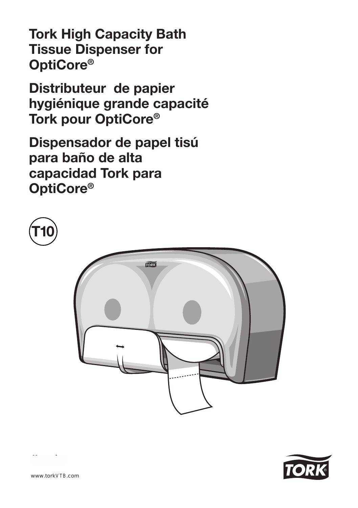Tork High Capacity Bath Tissue Dispenser for OptiCore®

Distributeur de papier hygiénique grande capacité Tork pour OptiCore®

Dispensador de papel tisú para baño de alta capacidad Tork para OptiCore®



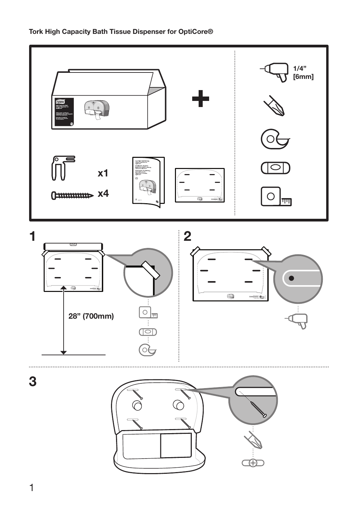

#### Tork High Capacity Bath Tissue Dispenser for OptiCore®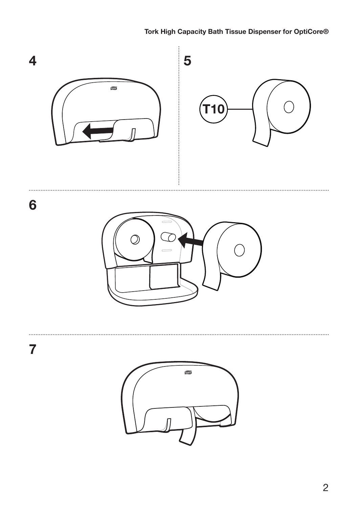